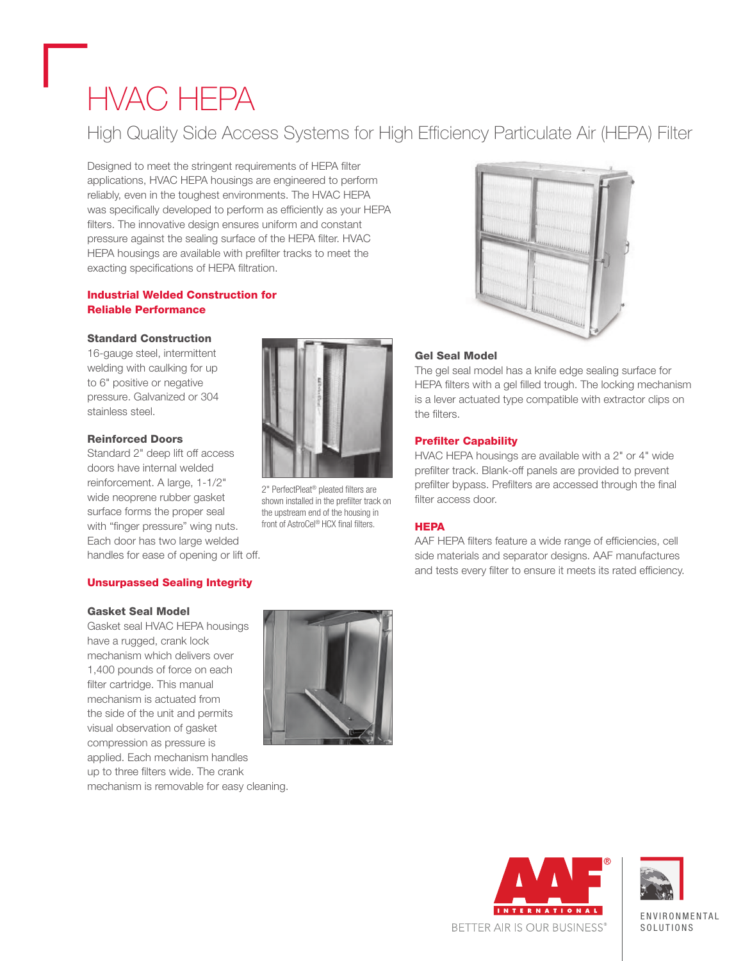# HVAC HEPA

### High Quality Side Access Systems for High Efficiency Particulate Air (HEPA) Filter

Designed to meet the stringent requirements of HEPA filter applications, HVAC HEPA housings are engineered to perform reliably, even in the toughest environments. The HVAC HEPA was specifically developed to perform as efficiently as your HEPA filters. The innovative design ensures uniform and constant pressure against the sealing surface of the HEPA filter. HVAC HEPA housings are available with prefilter tracks to meet the exacting specifications of HEPA filtration.

#### Industrial Welded Construction for Reliable Performance

#### Standard Construction

16-gauge steel, intermittent welding with caulking for up to 6" positive or negative pressure. Galvanized or 304 stainless steel.

#### Reinforced Doors

Standard 2" deep lift off access doors have internal welded reinforcement. A large, 1-1/2" wide neoprene rubber gasket surface forms the proper seal with "finger pressure" wing nuts. Each door has two large welded handles for ease of opening or lift off.

#### Unsurpassed Sealing Integrity

#### Gasket Seal Model

Gasket seal HVAC HEPA housings have a rugged, crank lock mechanism which delivers over 1,400 pounds of force on each filter cartridge. This manual mechanism is actuated from the side of the unit and permits visual observation of gasket compression as pressure is applied. Each mechanism handles up to three filters wide. The crank mechanism is removable for easy cleaning.



2" PerfectPleat® pleated filters are shown installed in the prefilter track on the upstream end of the housing in front of AstroCel® HCX final filters.



#### Gel Seal Model

The gel seal model has a knife edge sealing surface for HEPA filters with a gel filled trough. The locking mechanism is a lever actuated type compatible with extractor clips on the filters.

#### Prefilter Capability

HVAC HEPA housings are available with a 2" or 4" wide prefilter track. Blank-off panels are provided to prevent prefilter bypass. Prefilters are accessed through the final filter access door.

#### **HEPA**

AAF HEPA filters feature a wide range of efficiencies, cell side materials and separator designs. AAF manufactures and tests every filter to ensure it meets its rated efficiency.







**ENVIRONMENTAL** SOL IITIONS